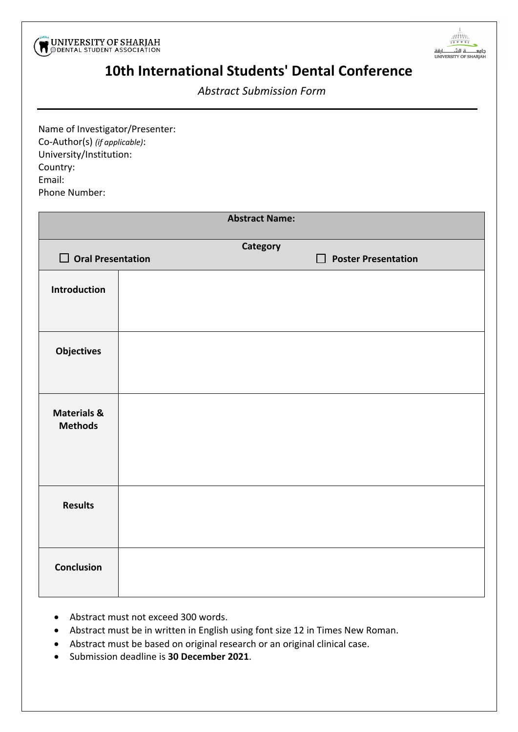

## **10th International Students' Dental Conference**

*Abstract Submission Form*

Name of Investigator/Presenter: Co-Author(s) *(if applicable)*: University/Institution: Country: Email: Phone Number:

| <b>Abstract Name:</b>                    |  |                                      |
|------------------------------------------|--|--------------------------------------|
| Category                                 |  |                                      |
| $\Box$ Oral Presentation                 |  | <b>Poster Presentation</b><br>$\Box$ |
| Introduction                             |  |                                      |
| <b>Objectives</b>                        |  |                                      |
| <b>Materials &amp;</b><br><b>Methods</b> |  |                                      |
| <b>Results</b>                           |  |                                      |
| Conclusion                               |  |                                      |

- Abstract must not exceed 300 words.
- Abstract must be in written in English using font size 12 in Times New Roman.
- Abstract must be based on original research or an original clinical case.
- Submission deadline is **30 December 2021**.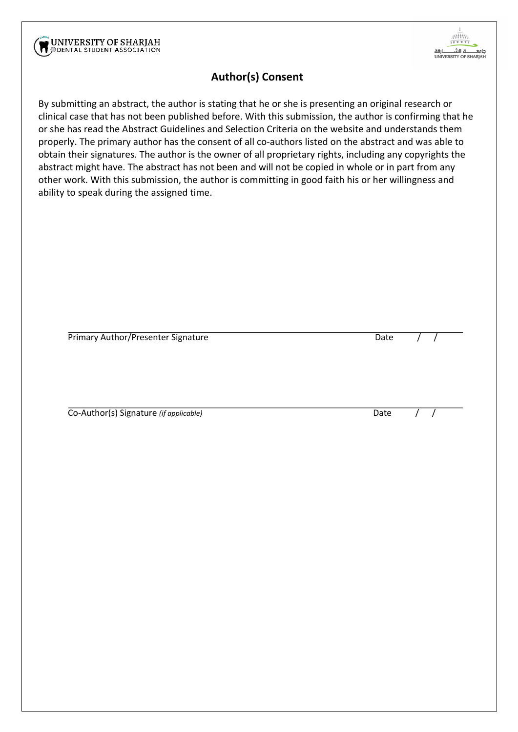

### **Author(s) Consent**

By submitting an abstract, the author is stating that he or she is presenting an original research or clinical case that has not been published before. With this submission, the author is confirming that he or she has read the Abstract Guidelines and Selection Criteria on the website and understands them properly. The primary author has the consent of all co-authors listed on the abstract and was able to obtain their signatures. The author is the owner of all proprietary rights, including any copyrights the abstract might have. The abstract has not been and will not be copied in whole or in part from any other work. With this submission, the author is committing in good faith his or her willingness and ability to speak during the assigned time.

Primary Author/Presenter Signature Date / /

Co-Author(s) Signature *(if applicable)* Date / /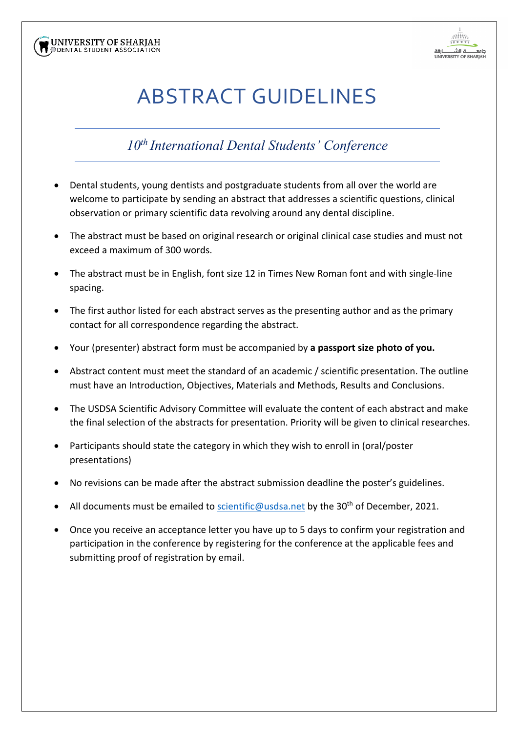

# ABSTRACT GUIDELINES

### *10th International Dental Students' Conference*

- Dental students, young dentists and postgraduate students from all over the world are welcome to participate by sending an abstract that addresses a scientific questions, clinical observation or primary scientific data revolving around any dental discipline.
- The abstract must be based on original research or original clinical case studies and must not exceed a maximum of 300 words.
- The abstract must be in English, font size 12 in Times New Roman font and with single-line spacing.
- The first author listed for each abstract serves as the presenting author and as the primary contact for all correspondence regarding the abstract.
- Your (presenter) abstract form must be accompanied by **a passport size photo of you.**
- Abstract content must meet the standard of an academic / scientific presentation. The outline must have an Introduction, Objectives, Materials and Methods, Results and Conclusions.
- The USDSA Scientific Advisory Committee will evaluate the content of each abstract and make the final selection of the abstracts for presentation. Priority will be given to clinical researches.
- Participants should state the category in which they wish to enroll in (oral/poster presentations)
- No revisions can be made after the abstract submission deadline the poster's guidelines.
- All documents must be emailed to scientific@usdsa.net by the 30<sup>th</sup> of December, 2021.
- Once you receive an acceptance letter you have up to 5 days to confirm your registration and participation in the conference by registering for the conference at the applicable fees and submitting proof of registration by email.